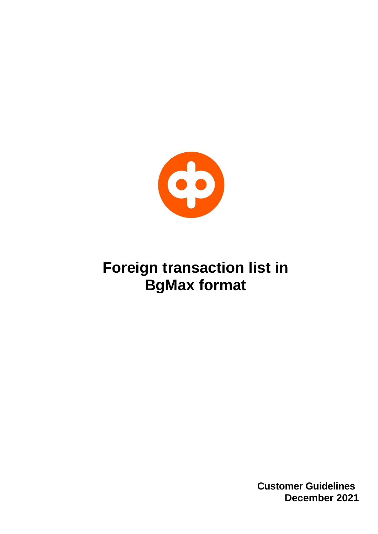

## **Foreign transaction list in BgMax format**

**Customer Guidelines December 2021**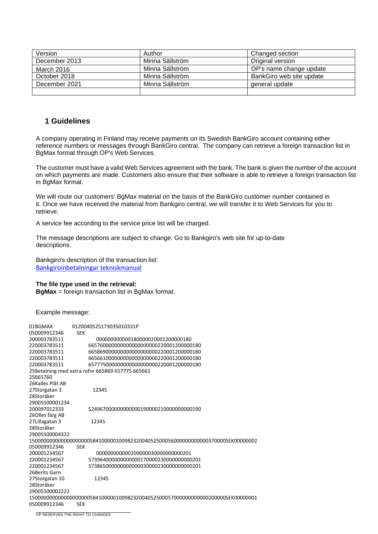| Version           | Author          | Changed section          |
|-------------------|-----------------|--------------------------|
| December 2013     | Minna Sällström | Original version         |
| <b>March 2016</b> | Minna Sällström | OP's name change update  |
| October 2018      | Minna Sällström | BankGiro web site update |
| December 2021     | Minna Sällström | general update           |
|                   |                 |                          |

## **1 Guidelines**

A company operating in Finland may receive payments on its Swedish BankGiro account containing either reference numbers or messages through BankGiro central. The company can retrieve a foreign transaction list in BgMax format through OP's Web Services.

The customer must have a valid Web Services agreement with the bank. The bank is given the number of the account on which payments are made. Customers also ensure that their software is able to retrieve a foreign transaction list in BgMax format.

We will route our customers' BgMax material on the basis of the BankGiro customer number contained in it. Once we have received the material from Bankgiro central, we will transfer it to Web Services for you to retrieve.

A service fee according to the service price list will be charged.

The message descriptions are subject to change. Go to Bankgiro's web site for up-to-date descriptions.

Bankgiro's description of the transaction list: [Bankgiroinbetalningar tekniskmanual](https://www.bankgirot.se/globalassets/dokument/tekniska-manualer/bankgiroinbetalningar_tekniskmanual_sv.pdf)

## **The file type used in the retrieval:**

**BgMax** = foreign transaction list in BgMax format.

Example message:

| 01BGMAX          | 0120040525173035010331P                                                          |
|------------------|----------------------------------------------------------------------------------|
| 050009912346     | <b>SEK</b>                                                                       |
| 200003783511     | 000000000000180000020001200000180                                                |
| 220003783511     | 665760000000000000000000220001200000180                                          |
| 220003783511     | 6658690000000000000000000220001200000180                                         |
| 220003783511     | 6656610000000000000000000220001200000180                                         |
| 220003783511     | 657775000000000000000000220001200000180                                          |
|                  | 25Betalning med extra refnr 665869 657775 665661                                 |
| 25665760         |                                                                                  |
| 26Kalles Plåt AB |                                                                                  |
| 27Storgatan 3    | 12345                                                                            |
| 28Storåker       |                                                                                  |
| 29005500001234   |                                                                                  |
| 200097012333     | 52496700000000000001900002100000000000190                                        |
| 26Olles färg AB  |                                                                                  |
| 27Lillagatan 3   | 12345                                                                            |
| 28Storåker       |                                                                                  |
| 29005500004322   |                                                                                  |
|                  | 150000000000000000000058410000010098232004052500056000000000000370000SEK00000002 |
| 050009912346     | <b>SEK</b>                                                                       |
| 200001234567     | 0000000000002000000300000000000201                                               |
| 220001234567     | 5739640000000000001700002300000000000201                                         |
| 220001234567     | 57386500000000000000300002300000000000201                                        |
| 26Berits Garn    |                                                                                  |
| 27Storgatan 10   | 12345                                                                            |
| 28Storåker       |                                                                                  |
| 29005500002222   |                                                                                  |
|                  | 1500000000000000000000584100000100982320040525000570000000000000200000SEK0000001 |
| 050009912346     | <b>SEK</b>                                                                       |
|                  |                                                                                  |

OP RESERVES THE RIGHT TO CHANGES